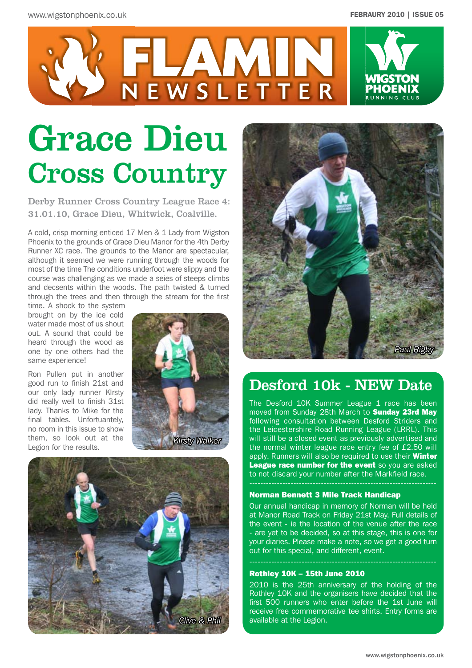

# Grace Dieu Cross Country

Derby Runner Cross Country League Race 4: 31.01.10, Grace Dieu, Whitwick, Coalville.

A cold, crisp morning enticed 17 Men & 1 Lady from Wigston Phoenix to the grounds of Grace Dieu Manor for the 4th Derby Runner XC race. The grounds to the Manor are spectacular, although it seemed we were running through the woods for most of the time The conditions underfoot were slippy and the course was challenging as we made a seies of steeps climbs and decsents within the woods. The path twisted & turned through the trees and then through the stream for the first

time. A shock to the system brought on by the ice cold water made most of us shout out. A sound that could be heard through the wood as one by one others had the same experience!

Ron Pullen put in another good run to finish 21st and our only lady runner KIrsty did really well to finish 31st lady. Thanks to Mike for the final tables. Unfortuantely, no room in this issue to show them, so look out at the Legion for the results.







## Desford 10k - NEW Date

The Desford 10K Summer League 1 race has been moved from Sunday 28th March to **Sunday 23rd May** following consultation between Desford Striders and the Leicestershire Road Running League (LRRL). This will still be a closed event as previously advertised and the normal winter league race entry fee of £2.50 will apply. Runners will also be required to use their **Winter League race number for the event** so you are asked to not discard your number after the Markfield race.

#### Norman Bennett 3 Mile Track Handicap

Our annual handicap in memory of Norman will be held at Manor Road Track on Friday 21st May. Full details of the event - ie the location of the venue after the race - are yet to be decided, so at this stage, this is one for your diaries. Please make a note, so we get a good turn out for this special, and different, event.

#### Rothley 10K – 15th June 2010

2010 is the 25th anniversary of the holding of the Rothley 10K and the organisers have decided that the first 500 runners who enter before the 1st June will receive free commemorative tee shirts. Entry forms are available at the Legion.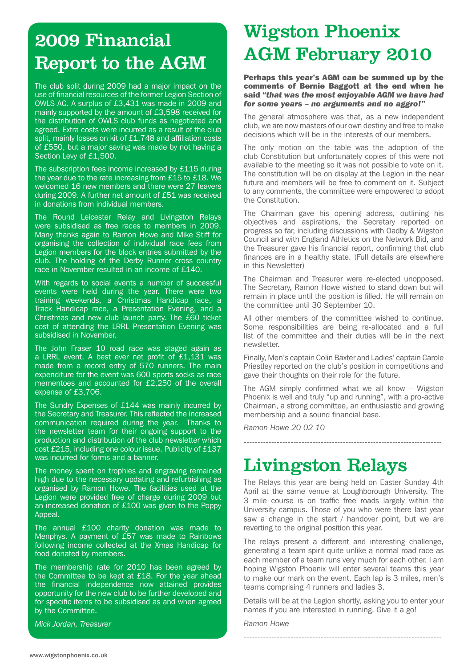# 2009 Financial Report to the AGM

The club split during 2009 had a major impact on the use of financial resources of the former Legion Section of OWLS AC. A surplus of £3,431 was made in 2009 and mainly supported by the amount of £3,598 received for the distribution of OWLS club funds as negotiated and agreed. Extra costs were incurred as a result of the club split, mainly losses on kit of £1,748 and affiliation costs of £550, but a major saving was made by not having a Section Levy of £1,500.

The subscription fees income increased by £115 during the year due to the rate increasing from £15 to £18. We welcomed 16 new members and there were 27 leavers during 2009. A further net amount of £51 was received in donations from individual members.

The Round Leicester Relay and Livingston Relays were subsidised as free races to members in 2009. Many thanks again to Ramon Howe and Mike Stiff for organising the collection of individual race fees from Legion members for the block entries submitted by the club. The holding of the Derby Runner cross country race in November resulted in an income of £140.

With regards to social events a number of successful events were held during the year. There were two training weekends, a Christmas Handicap race, a Track Handicap race, a Presentation Evening, and a Christmas and new club launch party. The £60 ticket cost of attending the LRRL Presentation Evening was subsidised in November.

The John Fraser 10 road race was staged again as a LRRL event. A best ever net profit of £1,131 was made from a record entry of 570 runners. The main expenditure for the event was 600 sports socks as race mementoes and accounted for £2,250 of the overall expense of £3,706.

The Sundry Expenses of £144 was mainly incurred by the Secretary and Treasurer. This reflected the increased communication required during the year. Thanks to the newsletter team for their ongoing support to the production and distribution of the club newsletter which cost £215, including one colour issue. Publicity of £137 was incurred for forms and a banner.

The money spent on trophies and engraving remained high due to the necessary updating and refurbishing as organised by Ramon Howe. The facilities used at the Legion were provided free of charge during 2009 but an increased donation of £100 was given to the Poppy Appeal.

The annual £100 charity donation was made to Menphys. A payment of £57 was made to Rainbows following income collected at the Xmas Handicap for food donated by members.

The membership rate for 2010 has been agreed by the Committee to be kept at £18. For the year ahead the financial independence now attained provides opportunity for the new club to be further developed and for specific items to be subsidised as and when agreed by the Committee.

*Mick Jordan, Treasurer*

# Wigston Phoenix AGM February 2010

Perhaps this year's AGM can be summed up by the comments of Bernie Baggott at the end when he said *"that was the most enjoyable AGM we have had for some years – no arguments and no aggro!"*

The general atmosphere was that, as a new independent club, we are now masters of our own destiny and free to make decisions which will be in the interests of our members.

The only motion on the table was the adoption of the club Constitution but unfortunately copies of this were not available to the meeting so it was not possible to vote on it. The constitution will be on display at the Legion in the near future and members will be free to comment on it. Subject to any comments, the committee were empowered to adopt the Constitution.

The Chairman gave his opening address, outlining his objectives and aspirations, the Secretary reported on progress so far, including discussions with Oadby & Wigston Council and with England Athletics on the Network Bid, and the Treasurer gave his financial report, confirming that club finances are in a healthy state. (Full details are elsewhere in this Newsletter)

The Chairman and Treasurer were re-elected unopposed. The Secretary, Ramon Howe wished to stand down but will remain in place until the position is filled. He will remain on the committee until 30 September 10.

All other members of the committee wished to continue. Some responsibilities are being re-allocated and a full list of the committee and their duties will be in the next newsletter.

Finally, Men's captain Colin Baxter and Ladies' captain Carole Priestley reported on the club's position in competitions and gave their thoughts on their role for the future.

The AGM simply confirmed what we all know – Wigston Phoenix is well and truly "up and running", with a pro-active Chairman, a strong committee, an enthusiastic and growing membership and a sound financial base.

------------------------------------------------------------------------

*Ramon Howe 20 02 10*

# Livingston Relays

The Relays this year are being held on Easter Sunday 4th April at the same venue at Loughborough University. The 3 mile course is on traffic free roads largely within the University campus. Those of you who were there last year saw a change in the start / handover point, but we are reverting to the original position this year.

The relays present a different and interesting challenge, generating a team spirit quite unlike a normal road race as each member of a team runs very much for each other. I am hoping Wigston Phoenix will enter several teams this year to make our mark on the event. Each lap is 3 miles, men's teams comprising 4 runners and ladies 3.

Details will be at the Legion shortly, asking you to enter your names if you are interested in running. Give it a go!

------------------------------------------------------------------------

*Ramon Howe*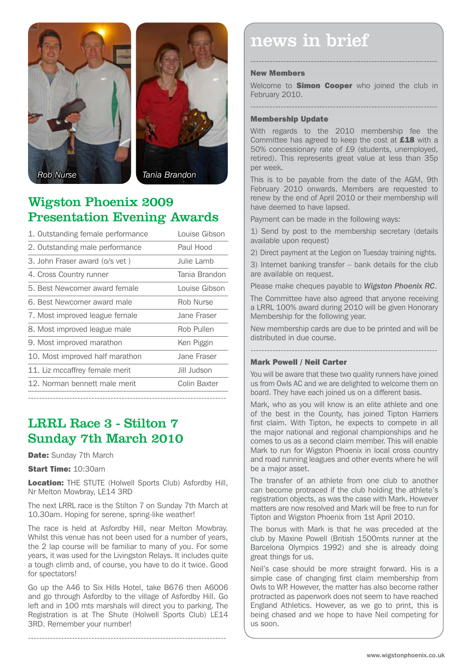



### Wigston Phoenix 2009 Presentation Evening Awards

| 1. Outstanding female performance | Louise Gibson |
|-----------------------------------|---------------|
| 2. Outstanding male performance   | Paul Hood     |
| 3. John Fraser award (o/s vet)    | Julie Lamb    |
| 4. Cross Country runner           | Tania Brandon |
| 5. Best Newcomer award female     | Louise Gibson |
| 6. Best Newcomer award male       | Rob Nurse     |
| 7. Most improved league female    | Jane Fraser   |
| 8. Most improved league male      | Rob Pullen    |
| 9. Most improved marathon         | Ken Piggin    |
| 10. Most improved half marathon   | Jane Fraser   |
| 11. Liz mccaffrey female merit    | Jill Judson   |
| 12. Norman bennett male merit     | Colin Baxter  |
|                                   |               |

### LRRL Race 3 - Stilton 7 Sunday 7th March 2010

Date: Sunday 7th March

Start Time: 10:30am

Location: THE STUTE (Holwell Sports Club) Asfordby Hill, Nr Melton Mowbray, LE14 3RD

The next LRRL race is the Stilton 7 on Sunday 7th March at 10.30am. Hoping for serene, spring-like weather!

The race is held at Asfordby Hill, near Melton Mowbray. Whilst this venue has not been used for a number of years, the 2 lap course will be familiar to many of you. For some years, it was used for the Livingston Relays. It includes quite a tough climb and, of course, you have to do it twice. Good for spectators!

Go up the A46 to Six Hills Hotel, take B676 then A6006 and go through Asfordby to the village of Asfordby Hill. Go left and in 100 mts marshals will direct you to parking. The Registration is at The Shute (Holwell Sports Club) LE14 3RD. Remember your number!

------------------------------------------------------------------------

# news in brief

#### New Members

Welcome to **Simon Cooper** who joined the club in February 2010.

--------------------------------------------------------------------

--------------------------------------------------------------------

#### Membership Update

With regards to the 2010 membership fee the Committee has agreed to keep the cost at £18 with a 50% concessionary rate of £9 (students, unemployed, retired). This represents great value at less than 35p per week.

This is to be payable from the date of the AGM, 9th February 2010 onwards. Members are requested to renew by the end of April 2010 or their membership will have deemed to have lapsed.

Payment can be made in the following ways:

1) Send by post to the membership secretary (details available upon request)

2) Direct payment at the Legion on Tuesday training nights.

3) Internet banking transfer – bank details for the club are available on request.

Please make cheques payable to *Wigston Phoenix RC*.

The Committee have also agreed that anyone receiving a LRRL 100% award during 2010 will be given Honorary Membership for the following year.

New membership cards are due to be printed and will be distributed in due course.

--------------------------------------------------------------------

#### Mark Powell / Neil Carter

You will be aware that these two quality runners have joined us from Owls AC and we are delighted to welcome them on board. They have each joined us on a different basis.

Mark, who as you will know is an elite athlete and one of the best in the County, has joined Tipton Harriers first claim. With Tipton, he expects to compete in all the major national and regional championships and he comes to us as a second claim member. This will enable Mark to run for Wigston Phoenix in local cross country and road running leagues and other events where he will be a major asset.

The transfer of an athlete from one club to another can become protraced if the club holding the athlete's registration objects, as was the case with Mark. However matters are now resolved and Mark will be free to run for Tipton and Wigston Phoenix from 1st April 2010.

The bonus with Mark is that he was preceded at the club by Maxine Powell (British 1500mts runner at the Barcelona Olympics 1992) and she is already doing great things for us.

Neil's case should be more straight forward. His is a simple case of changing first claim membership from Owls to WP. However, the matter has also become rather protracted as paperwork does not seem to have reached England Athletics. However, as we go to print, this is being chased and we hope to have Neil competing for us soon.